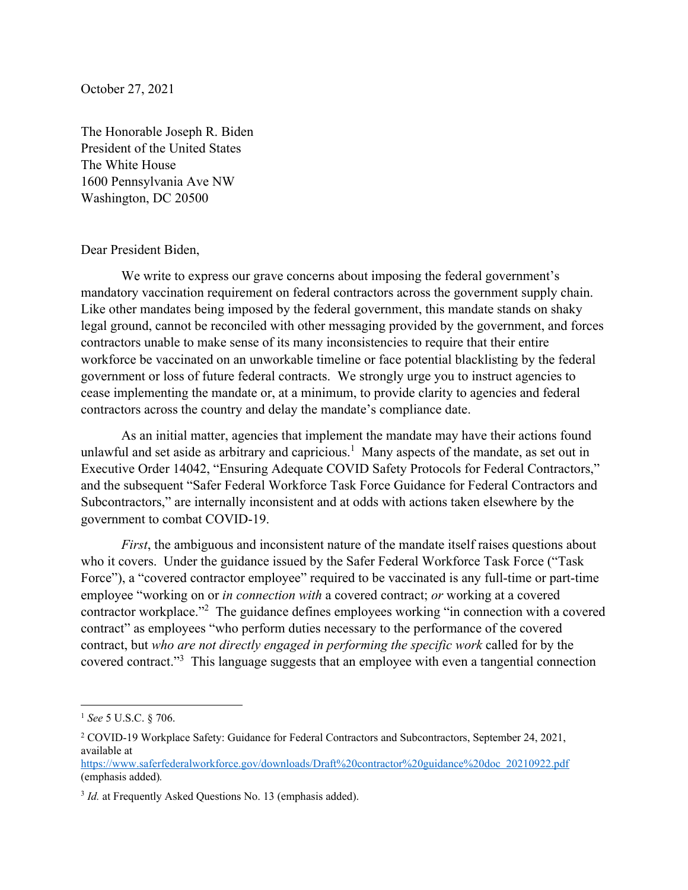October 27, 2021

The Honorable Joseph R. Biden President of the United States The White House 1600 Pennsylvania Ave NW Washington, DC 20500

## Dear President Biden,

We write to express our grave concerns about imposing the federal government's mandatory vaccination requirement on federal contractors across the government supply chain. Like other mandates being imposed by the federal government, this mandate stands on shaky legal ground, cannot be reconciled with other messaging provided by the government, and forces contractors unable to make sense of its many inconsistencies to require that their entire workforce be vaccinated on an unworkable timeline or face potential blacklisting by the federal government or loss of future federal contracts. We strongly urge you to instruct agencies to cease implementing the mandate or, at a minimum, to provide clarity to agencies and federal contractors across the country and delay the mandate's compliance date.

 As an initial matter, agencies that implement the mandate may have their actions found unlawful and set aside as arbitrary and capricious.<sup>1</sup> Many aspects of the mandate, as set out in Executive Order 14042, "Ensuring Adequate COVID Safety Protocols for Federal Contractors," and the subsequent "Safer Federal Workforce Task Force Guidance for Federal Contractors and Subcontractors," are internally inconsistent and at odds with actions taken elsewhere by the government to combat COVID-19.

*First*, the ambiguous and inconsistent nature of the mandate itself raises questions about who it covers. Under the guidance issued by the Safer Federal Workforce Task Force ("Task Force"), a "covered contractor employee" required to be vaccinated is any full-time or part-time employee "working on or *in connection with* a covered contract; *or* working at a covered contractor workplace."<sup>2</sup> The guidance defines employees working "in connection with a covered contract" as employees "who perform duties necessary to the performance of the covered contract, but *who are not directly engaged in performing the specific work* called for by the covered contract."<sup>3</sup> This language suggests that an employee with even a tangential connection

https://www.saferfederalworkforce.gov/downloads/Draft%20contractor%20guidance%20doc 20210922.pdf (emphasis added)*.* 

<sup>1</sup> *See* 5 U.S.C. § 706.

<sup>&</sup>lt;sup>2</sup> COVID-19 Workplace Safety: Guidance for Federal Contractors and Subcontractors, September 24, 2021, available at

<sup>&</sup>lt;sup>3</sup> *Id.* at Frequently Asked Questions No. 13 (emphasis added).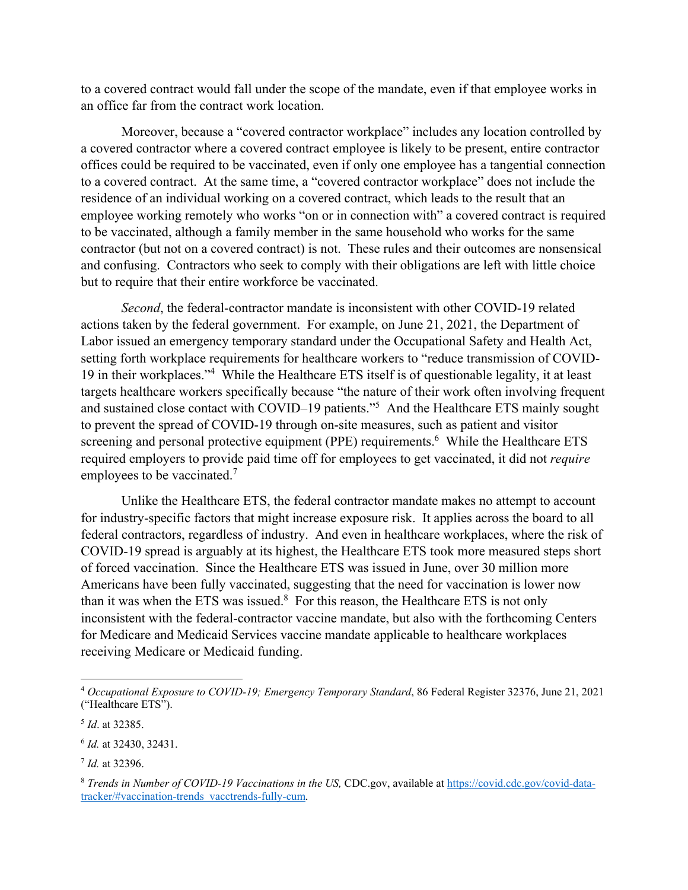to a covered contract would fall under the scope of the mandate, even if that employee works in an office far from the contract work location.

Moreover, because a "covered contractor workplace" includes any location controlled by a covered contractor where a covered contract employee is likely to be present, entire contractor offices could be required to be vaccinated, even if only one employee has a tangential connection to a covered contract. At the same time, a "covered contractor workplace" does not include the residence of an individual working on a covered contract, which leads to the result that an employee working remotely who works "on or in connection with" a covered contract is required to be vaccinated, although a family member in the same household who works for the same contractor (but not on a covered contract) is not. These rules and their outcomes are nonsensical and confusing. Contractors who seek to comply with their obligations are left with little choice but to require that their entire workforce be vaccinated.

*Second*, the federal-contractor mandate is inconsistent with other COVID-19 related actions taken by the federal government. For example, on June 21, 2021, the Department of Labor issued an emergency temporary standard under the Occupational Safety and Health Act, setting forth workplace requirements for healthcare workers to "reduce transmission of COVID-19 in their workplaces."4 While the Healthcare ETS itself is of questionable legality, it at least targets healthcare workers specifically because "the nature of their work often involving frequent and sustained close contact with COVID–19 patients."5 And the Healthcare ETS mainly sought to prevent the spread of COVID-19 through on-site measures, such as patient and visitor screening and personal protective equipment (PPE) requirements.<sup>6</sup> While the Healthcare ETS required employers to provide paid time off for employees to get vaccinated, it did not *require* employees to be vaccinated. $7$ 

Unlike the Healthcare ETS, the federal contractor mandate makes no attempt to account for industry-specific factors that might increase exposure risk. It applies across the board to all federal contractors, regardless of industry. And even in healthcare workplaces, where the risk of COVID-19 spread is arguably at its highest, the Healthcare ETS took more measured steps short of forced vaccination. Since the Healthcare ETS was issued in June, over 30 million more Americans have been fully vaccinated, suggesting that the need for vaccination is lower now than it was when the ETS was issued. $8$  For this reason, the Healthcare ETS is not only inconsistent with the federal-contractor vaccine mandate, but also with the forthcoming Centers for Medicare and Medicaid Services vaccine mandate applicable to healthcare workplaces receiving Medicare or Medicaid funding.

<sup>4</sup> *Occupational Exposure to COVID-19; Emergency Temporary Standard*, 86 Federal Register 32376, June 21, 2021 ("Healthcare ETS").

<sup>5</sup> *Id*. at 32385.

<sup>6</sup> *Id.* at 32430, 32431.

<sup>7</sup> *Id.* at 32396.

<sup>8</sup> *Trends in Number of COVID-19 Vaccinations in the US,* CDC.gov, available at https://covid.cdc.gov/covid-datatracker/#vaccination-trends vacctrends-fully-cum.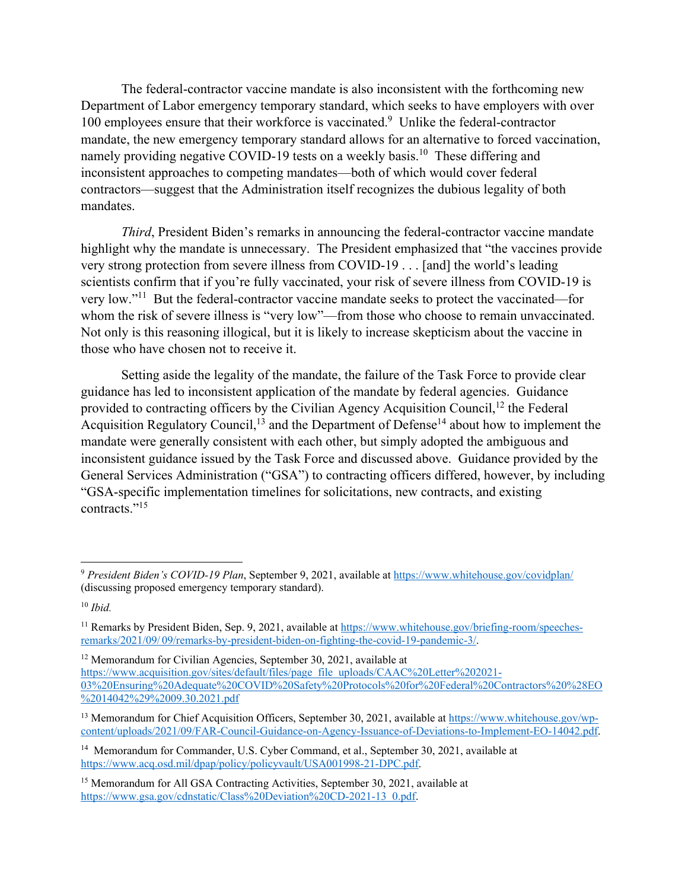The federal-contractor vaccine mandate is also inconsistent with the forthcoming new Department of Labor emergency temporary standard, which seeks to have employers with over 100 employees ensure that their workforce is vaccinated.<sup>9</sup> Unlike the federal-contractor mandate, the new emergency temporary standard allows for an alternative to forced vaccination, namely providing negative COVID-19 tests on a weekly basis.<sup>10</sup> These differing and inconsistent approaches to competing mandates—both of which would cover federal contractors—suggest that the Administration itself recognizes the dubious legality of both mandates.

*Third*, President Biden's remarks in announcing the federal-contractor vaccine mandate highlight why the mandate is unnecessary. The President emphasized that "the vaccines provide very strong protection from severe illness from COVID-19 . . . [and] the world's leading scientists confirm that if you're fully vaccinated, your risk of severe illness from COVID-19 is very low."11 But the federal-contractor vaccine mandate seeks to protect the vaccinated—for whom the risk of severe illness is "very low"—from those who choose to remain unvaccinated. Not only is this reasoning illogical, but it is likely to increase skepticism about the vaccine in those who have chosen not to receive it.

Setting aside the legality of the mandate, the failure of the Task Force to provide clear guidance has led to inconsistent application of the mandate by federal agencies. Guidance provided to contracting officers by the Civilian Agency Acquisition Council,<sup>12</sup> the Federal Acquisition Regulatory Council,<sup>13</sup> and the Department of Defense<sup>14</sup> about how to implement the mandate were generally consistent with each other, but simply adopted the ambiguous and inconsistent guidance issued by the Task Force and discussed above. Guidance provided by the General Services Administration ("GSA") to contracting officers differed, however, by including "GSA-specific implementation timelines for solicitations, new contracts, and existing contracts."<sup>15</sup>

<sup>9</sup> *President Biden's COVID-19 Plan*, September 9, 2021, available at https://www.whitehouse.gov/covidplan/ (discussing proposed emergency temporary standard).

<sup>10</sup> *Ibid.*

<sup>&</sup>lt;sup>11</sup> Remarks by President Biden, Sep. 9, 2021, available at https://www.whitehouse.gov/briefing-room/speechesremarks/2021/09/ 09/remarks-by-president-biden-on-fighting-the-covid-19-pandemic-3/.

<sup>&</sup>lt;sup>12</sup> Memorandum for Civilian Agencies, September 30, 2021, available at https://www.acquisition.gov/sites/default/files/page file uploads/CAAC%20Letter%202021-03%20Ensuring%20Adequate%20COVID%20Safety%20Protocols%20for%20Federal%20Contractors%20%28EO %2014042%29%2009.30.2021.pdf

<sup>&</sup>lt;sup>13</sup> Memorandum for Chief Acquisition Officers, September 30, 2021, available at https://www.whitehouse.gov/wpcontent/uploads/2021/09/FAR-Council-Guidance-on-Agency-Issuance-of-Deviations-to-Implement-EO-14042.pdf.

<sup>&</sup>lt;sup>14</sup> Memorandum for Commander, U.S. Cyber Command, et al., September 30, 2021, available at https://www.acq.osd.mil/dpap/policy/policyvault/USA001998-21-DPC.pdf.

<sup>&</sup>lt;sup>15</sup> Memorandum for All GSA Contracting Activities, September 30, 2021, available at https://www.gsa.gov/cdnstatic/Class%20Deviation%20CD-2021-13 0.pdf.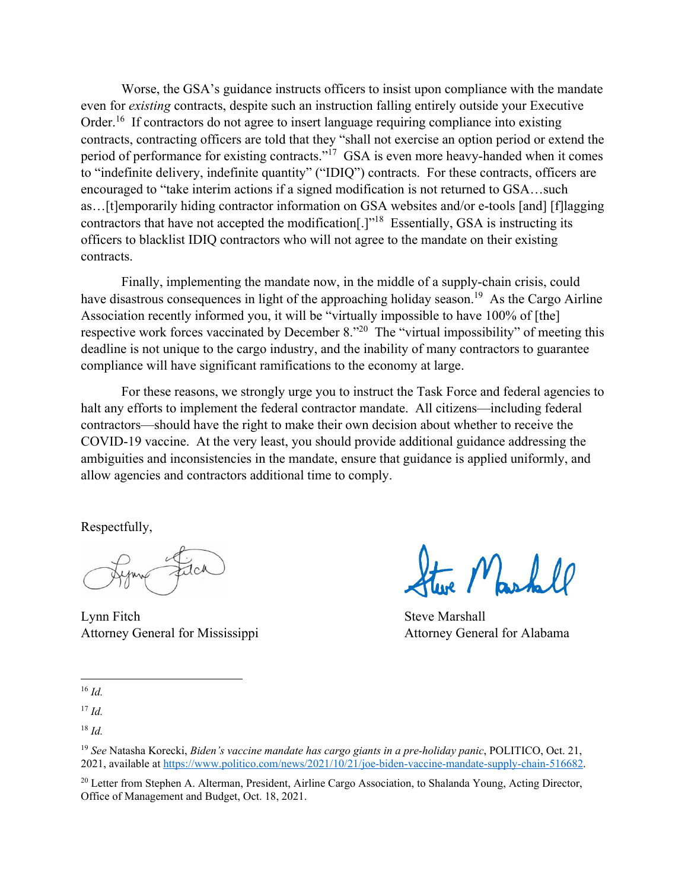Worse, the GSA's guidance instructs officers to insist upon compliance with the mandate even for *existing* contracts, despite such an instruction falling entirely outside your Executive Order.<sup>16</sup> If contractors do not agree to insert language requiring compliance into existing contracts, contracting officers are told that they "shall not exercise an option period or extend the period of performance for existing contracts."17 GSA is even more heavy-handed when it comes to "indefinite delivery, indefinite quantity" ("IDIQ") contracts. For these contracts, officers are encouraged to "take interim actions if a signed modification is not returned to GSA…such as…[t]emporarily hiding contractor information on GSA websites and/or e-tools [and] [f]lagging contractors that have not accepted the modification<sup>[1], 18</sup> Essentially, GSA is instructing its officers to blacklist IDIQ contractors who will not agree to the mandate on their existing contracts.

Finally, implementing the mandate now, in the middle of a supply-chain crisis, could have disastrous consequences in light of the approaching holiday season.<sup>19</sup> As the Cargo Airline Association recently informed you, it will be "virtually impossible to have 100% of [the] respective work forces vaccinated by December 8.<sup>"20</sup> The "virtual impossibility" of meeting this deadline is not unique to the cargo industry, and the inability of many contractors to guarantee compliance will have significant ramifications to the economy at large.

For these reasons, we strongly urge you to instruct the Task Force and federal agencies to halt any efforts to implement the federal contractor mandate. All citizens—including federal contractors—should have the right to make their own decision about whether to receive the COVID-19 vaccine. At the very least, you should provide additional guidance addressing the ambiguities and inconsistencies in the mandate, ensure that guidance is applied uniformly, and allow agencies and contractors additional time to comply.

Respectfully,

Lynn Fitch Steve Marshall Attorney General for Mississippi Attorney General for Alabama

Markell

<sup>16</sup> *Id.*

<sup>17</sup> *Id.*

<sup>18</sup> *Id.*

<sup>19</sup> *See* Natasha Korecki, *Biden's vaccine mandate has cargo giants in a pre-holiday panic*, POLITICO, Oct. 21, 2021, available at https://www.politico.com/news/2021/10/21/joe-biden-vaccine-mandate-supply-chain-516682.

<sup>&</sup>lt;sup>20</sup> Letter from Stephen A. Alterman, President, Airline Cargo Association, to Shalanda Young, Acting Director, Office of Management and Budget, Oct. 18, 2021.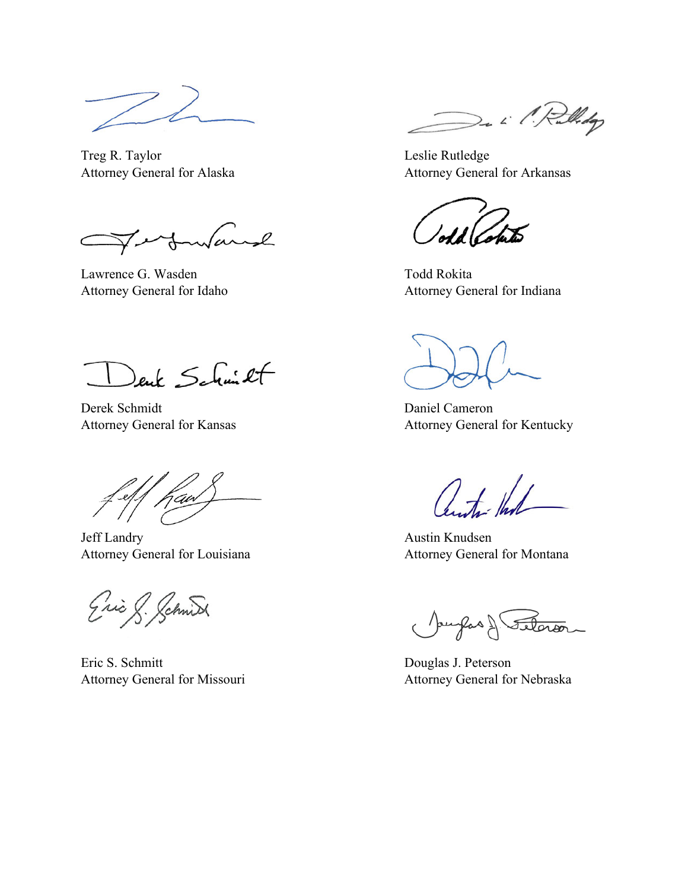Treg R. Taylor Leslie Rutledge

C

Lawrence G. Wasden Todd Rokita

Denk Schmitt

Derek Schmidt Daniel Cameron

Jaw

Jeff Landry Austin Knudsen Attorney General for Louisiana **Attorney General for Montana** 

Eric & Schnid

Eric S. Schmitt Douglas J. Peterson

De il Rollidge

Attorney General for Alaska Attorney General for Arkansas

Attorney General for Idaho Attorney General for Indiana

Attorney General for Kansas Attorney General for Kentucky

 $0 + 1$ 

Jourfas & Seteror

Attorney General for Missouri **Attorney General for Nebraska**